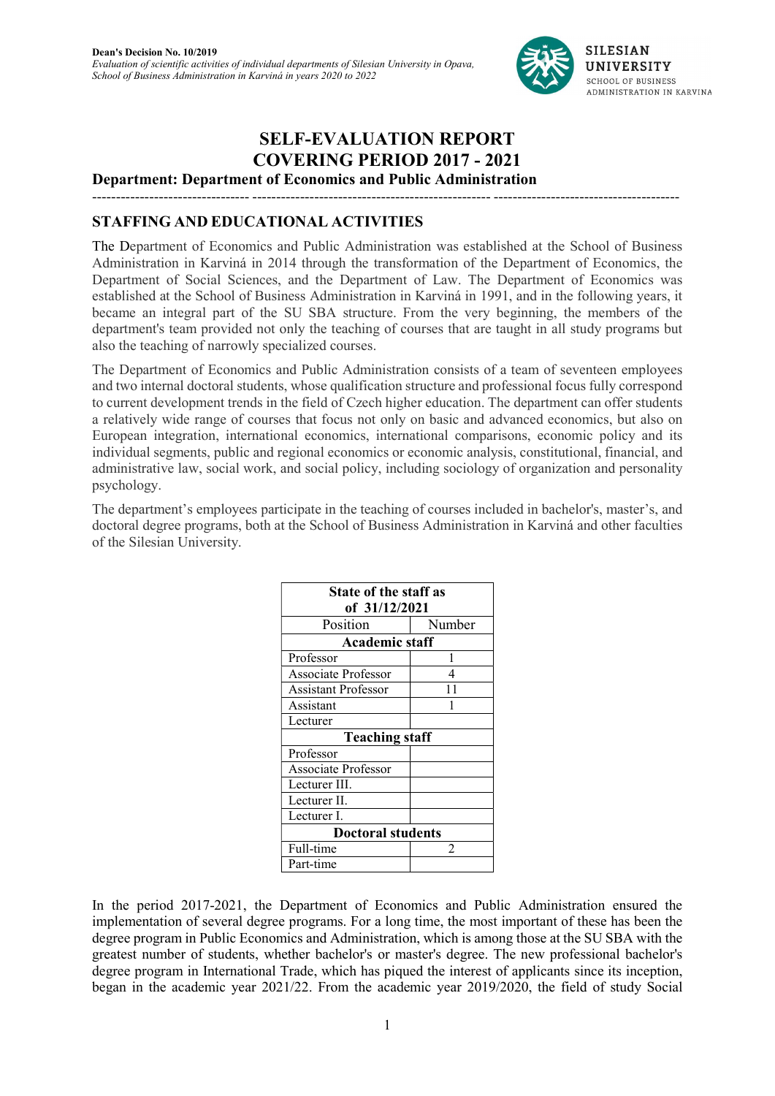

# SELF-EVALUATION REPORT COVERING PERIOD 2017 - 2021

--------------------------------- -------------------------------------------------- ---------------------------------------

Department: Department of Economics and Public Administration

#### STAFFING AND EDUCATIONAL ACTIVITIES

The Department of Economics and Public Administration was established at the School of Business Administration in Karviná in 2014 through the transformation of the Department of Economics, the Department of Social Sciences, and the Department of Law. The Department of Economics was established at the School of Business Administration in Karviná in 1991, and in the following years, it became an integral part of the SU SBA structure. From the very beginning, the members of the department's team provided not only the teaching of courses that are taught in all study programs but also the teaching of narrowly specialized courses.

The Department of Economics and Public Administration consists of a team of seventeen employees and two internal doctoral students, whose qualification structure and professional focus fully correspond to current development trends in the field of Czech higher education. The department can offer students a relatively wide range of courses that focus not only on basic and advanced economics, but also on European integration, international economics, international comparisons, economic policy and its individual segments, public and regional economics or economic analysis, constitutional, financial, and administrative law, social work, and social policy, including sociology of organization and personality psychology.

The department's employees participate in the teaching of courses included in bachelor's, master's, and doctoral degree programs, both at the School of Business Administration in Karviná and other faculties of the Silesian University.

| State of the staff as    |                |  |  |  |  |  |
|--------------------------|----------------|--|--|--|--|--|
| of 31/12/2021            |                |  |  |  |  |  |
| Position                 | Number         |  |  |  |  |  |
| <b>Academic staff</b>    |                |  |  |  |  |  |
| Professor                |                |  |  |  |  |  |
| Associate Professor      |                |  |  |  |  |  |
| Assistant Professor      | 11             |  |  |  |  |  |
| Assistant                |                |  |  |  |  |  |
| Lecturer                 |                |  |  |  |  |  |
| <b>Teaching staff</b>    |                |  |  |  |  |  |
| Professor                |                |  |  |  |  |  |
| Associate Professor      |                |  |  |  |  |  |
| Lecturer III.            |                |  |  |  |  |  |
| Lecturer II.             |                |  |  |  |  |  |
| Lecturer I.              |                |  |  |  |  |  |
| <b>Doctoral students</b> |                |  |  |  |  |  |
| Full-time                | $\mathfrak{D}$ |  |  |  |  |  |
| Part-time                |                |  |  |  |  |  |

In the period 2017-2021, the Department of Economics and Public Administration ensured the implementation of several degree programs. For a long time, the most important of these has been the degree program in Public Economics and Administration, which is among those at the SU SBA with the greatest number of students, whether bachelor's or master's degree. The new professional bachelor's degree program in International Trade, which has piqued the interest of applicants since its inception, began in the academic year 2021/22. From the academic year 2019/2020, the field of study Social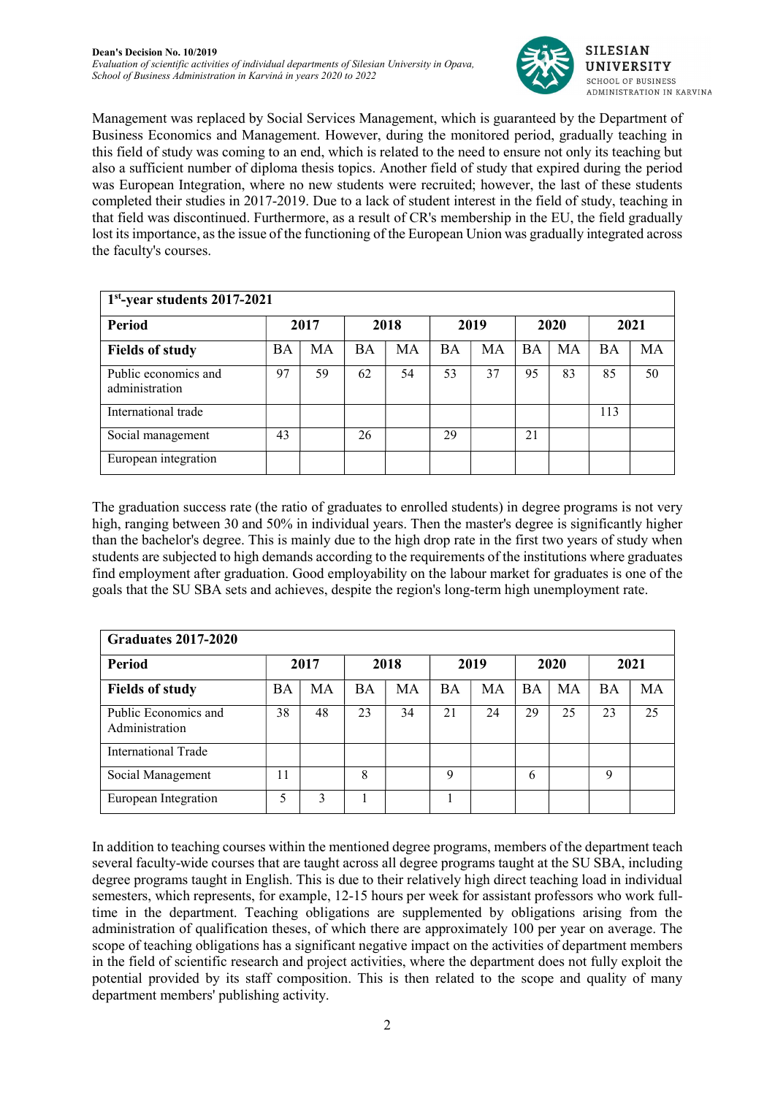

Management was replaced by Social Services Management, which is guaranteed by the Department of Business Economics and Management. However, during the monitored period, gradually teaching in this field of study was coming to an end, which is related to the need to ensure not only its teaching but also a sufficient number of diploma thesis topics. Another field of study that expired during the period was European Integration, where no new students were recruited; however, the last of these students completed their studies in 2017-2019. Due to a lack of student interest in the field of study, teaching in that field was discontinued. Furthermore, as a result of CR's membership in the EU, the field gradually lost its importance, as the issue of the functioning of the European Union was gradually integrated across the faculty's courses.

| $1st$ -year students 2017-2021         |           |      |    |      |           |      |           |      |           |      |
|----------------------------------------|-----------|------|----|------|-----------|------|-----------|------|-----------|------|
| Period                                 |           | 2017 |    | 2018 |           | 2019 |           | 2020 |           | 2021 |
| <b>Fields of study</b>                 | <b>BA</b> | MA   | BA | МA   | <b>BA</b> | MA   | <b>BA</b> | MA   | <b>BA</b> | MA   |
| Public economics and<br>administration | 97        | 59   | 62 | 54   | 53        | 37   | 95        | 83   | 85        | 50   |
| International trade                    |           |      |    |      |           |      |           |      | 113       |      |
| Social management                      | 43        |      | 26 |      | 29        |      | 21        |      |           |      |
| European integration                   |           |      |    |      |           |      |           |      |           |      |

The graduation success rate (the ratio of graduates to enrolled students) in degree programs is not very high, ranging between 30 and 50% in individual years. Then the master's degree is significantly higher than the bachelor's degree. This is mainly due to the high drop rate in the first two years of study when students are subjected to high demands according to the requirements of the institutions where graduates find employment after graduation. Good employability on the labour market for graduates is one of the goals that the SU SBA sets and achieves, despite the region's long-term high unemployment rate.

| <b>Graduates 2017-2020</b>             |           |      |           |      |           |      |           |      |           |      |
|----------------------------------------|-----------|------|-----------|------|-----------|------|-----------|------|-----------|------|
| Period                                 |           | 2017 |           | 2018 |           | 2019 |           | 2020 |           | 2021 |
| <b>Fields of study</b>                 | <b>BA</b> | MA   | <b>BA</b> | МA   | <b>BA</b> | МA   | <b>BA</b> | MA   | <b>BA</b> | MA   |
| Public Economics and<br>Administration | 38        | 48   | 23        | 34   | 21        | 24   | 29        | 25   | 23        | 25   |
| International Trade                    |           |      |           |      |           |      |           |      |           |      |
| Social Management                      | 11        |      | 8         |      | Q         |      | 6         |      | 9         |      |
| European Integration                   | 5         |      |           |      |           |      |           |      |           |      |

In addition to teaching courses within the mentioned degree programs, members of the department teach several faculty-wide courses that are taught across all degree programs taught at the SU SBA, including degree programs taught in English. This is due to their relatively high direct teaching load in individual semesters, which represents, for example, 12-15 hours per week for assistant professors who work fulltime in the department. Teaching obligations are supplemented by obligations arising from the administration of qualification theses, of which there are approximately 100 per year on average. The scope of teaching obligations has a significant negative impact on the activities of department members in the field of scientific research and project activities, where the department does not fully exploit the potential provided by its staff composition. This is then related to the scope and quality of many department members' publishing activity.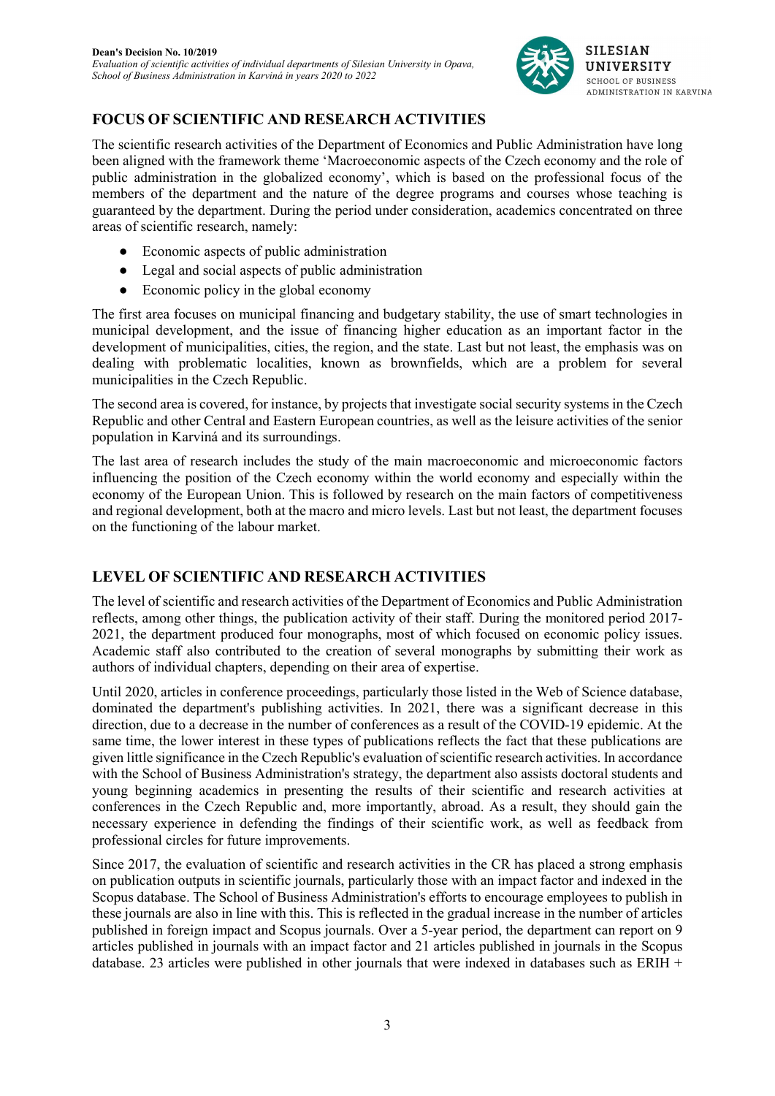

### FOCUS OF SCIENTIFIC AND RESEARCH ACTIVITIES

The scientific research activities of the Department of Economics and Public Administration have long been aligned with the framework theme 'Macroeconomic aspects of the Czech economy and the role of public administration in the globalized economy', which is based on the professional focus of the members of the department and the nature of the degree programs and courses whose teaching is guaranteed by the department. During the period under consideration, academics concentrated on three areas of scientific research, namely:

- Economic aspects of public administration
- Legal and social aspects of public administration
- Economic policy in the global economy

The first area focuses on municipal financing and budgetary stability, the use of smart technologies in municipal development, and the issue of financing higher education as an important factor in the development of municipalities, cities, the region, and the state. Last but not least, the emphasis was on dealing with problematic localities, known as brownfields, which are a problem for several municipalities in the Czech Republic.

The second area is covered, for instance, by projects that investigate social security systems in the Czech Republic and other Central and Eastern European countries, as well as the leisure activities of the senior population in Karviná and its surroundings.

The last area of research includes the study of the main macroeconomic and microeconomic factors influencing the position of the Czech economy within the world economy and especially within the economy of the European Union. This is followed by research on the main factors of competitiveness and regional development, both at the macro and micro levels. Last but not least, the department focuses on the functioning of the labour market.

#### LEVEL OF SCIENTIFIC AND RESEARCH ACTIVITIES

The level of scientific and research activities of the Department of Economics and Public Administration reflects, among other things, the publication activity of their staff. During the monitored period 2017- 2021, the department produced four monographs, most of which focused on economic policy issues. Academic staff also contributed to the creation of several monographs by submitting their work as authors of individual chapters, depending on their area of expertise.

Until 2020, articles in conference proceedings, particularly those listed in the Web of Science database, dominated the department's publishing activities. In 2021, there was a significant decrease in this direction, due to a decrease in the number of conferences as a result of the COVID-19 epidemic. At the same time, the lower interest in these types of publications reflects the fact that these publications are given little significance in the Czech Republic's evaluation of scientific research activities. In accordance with the School of Business Administration's strategy, the department also assists doctoral students and young beginning academics in presenting the results of their scientific and research activities at conferences in the Czech Republic and, more importantly, abroad. As a result, they should gain the necessary experience in defending the findings of their scientific work, as well as feedback from professional circles for future improvements.

Since 2017, the evaluation of scientific and research activities in the CR has placed a strong emphasis on publication outputs in scientific journals, particularly those with an impact factor and indexed in the Scopus database. The School of Business Administration's efforts to encourage employees to publish in these journals are also in line with this. This is reflected in the gradual increase in the number of articles published in foreign impact and Scopus journals. Over a 5-year period, the department can report on 9 articles published in journals with an impact factor and 21 articles published in journals in the Scopus database. 23 articles were published in other journals that were indexed in databases such as ERIH +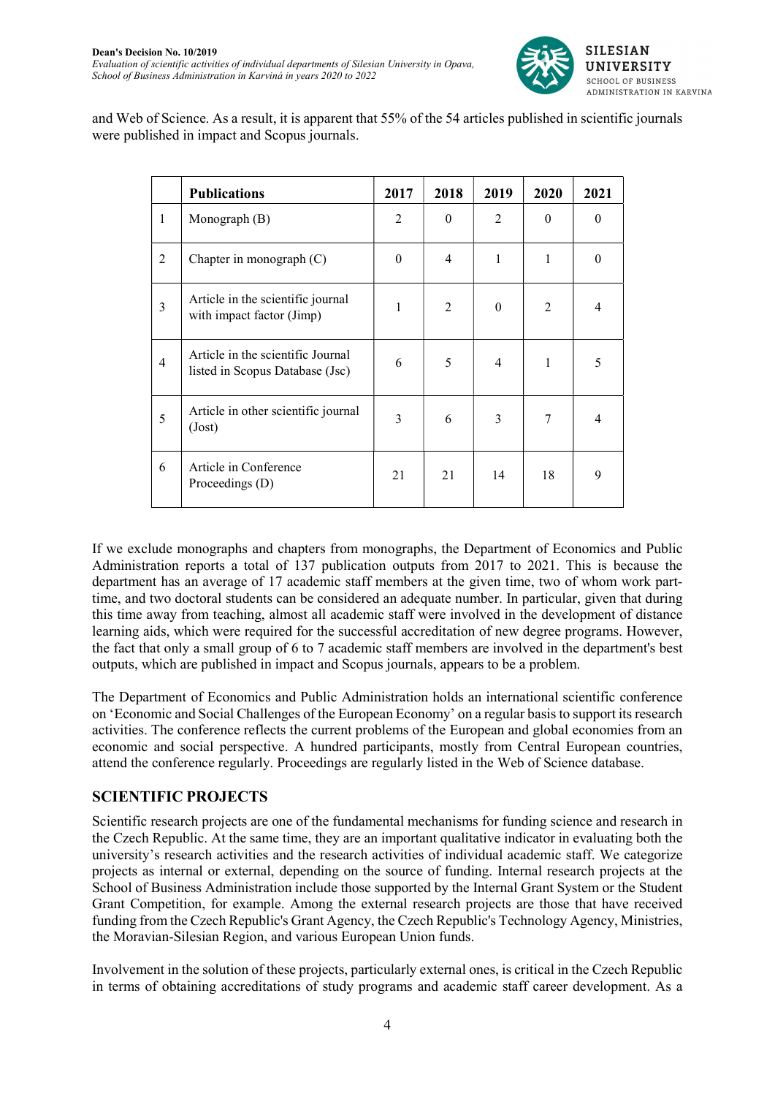

and Web of Science. As a result, it is apparent that 55% of the 54 articles published in scientific journals were published in impact and Scopus journals.

|                | <b>Publications</b>                                                  | 2017           | 2018     | 2019           | 2020           | 2021           |
|----------------|----------------------------------------------------------------------|----------------|----------|----------------|----------------|----------------|
| 1              | Monograph $(B)$                                                      | $\mathfrak{D}$ | $\theta$ | $\mathfrak{D}$ | $\theta$       | $\theta$       |
| $\overline{2}$ | Chapter in monograph (C)                                             | $\Omega$       | 4        | 1              | 1              | $\Omega$       |
| $\overline{3}$ | Article in the scientific journal<br>with impact factor (Jimp)       | 1              | 2        | $\Omega$       | $\overline{2}$ | $\overline{4}$ |
| $\overline{4}$ | Article in the scientific Journal<br>listed in Scopus Database (Jsc) | 6              | 5        | $\overline{4}$ | 1              | 5              |
| 5              | Article in other scientific journal<br>(Just)                        | 3              | 6        | 3              | 7              | 4              |
| 6              | Article in Conference<br>Proceedings (D)                             | 21             | 21       | 14             | 18             | 9              |

If we exclude monographs and chapters from monographs, the Department of Economics and Public Administration reports a total of 137 publication outputs from 2017 to 2021. This is because the department has an average of 17 academic staff members at the given time, two of whom work parttime, and two doctoral students can be considered an adequate number. In particular, given that during this time away from teaching, almost all academic staff were involved in the development of distance learning aids, which were required for the successful accreditation of new degree programs. However, the fact that only a small group of 6 to 7 academic staff members are involved in the department's best outputs, which are published in impact and Scopus journals, appears to be a problem.

The Department of Economics and Public Administration holds an international scientific conference on 'Economic and Social Challenges of the European Economy' on a regular basis to support its research activities. The conference reflects the current problems of the European and global economies from an economic and social perspective. A hundred participants, mostly from Central European countries, attend the conference regularly. Proceedings are regularly listed in the Web of Science database.

#### SCIENTIFIC PROJECTS

Scientific research projects are one of the fundamental mechanisms for funding science and research in the Czech Republic. At the same time, they are an important qualitative indicator in evaluating both the university's research activities and the research activities of individual academic staff. We categorize projects as internal or external, depending on the source of funding. Internal research projects at the School of Business Administration include those supported by the Internal Grant System or the Student Grant Competition, for example. Among the external research projects are those that have received funding from the Czech Republic's Grant Agency, the Czech Republic's Technology Agency, Ministries, the Moravian-Silesian Region, and various European Union funds.

Involvement in the solution of these projects, particularly external ones, is critical in the Czech Republic in terms of obtaining accreditations of study programs and academic staff career development. As a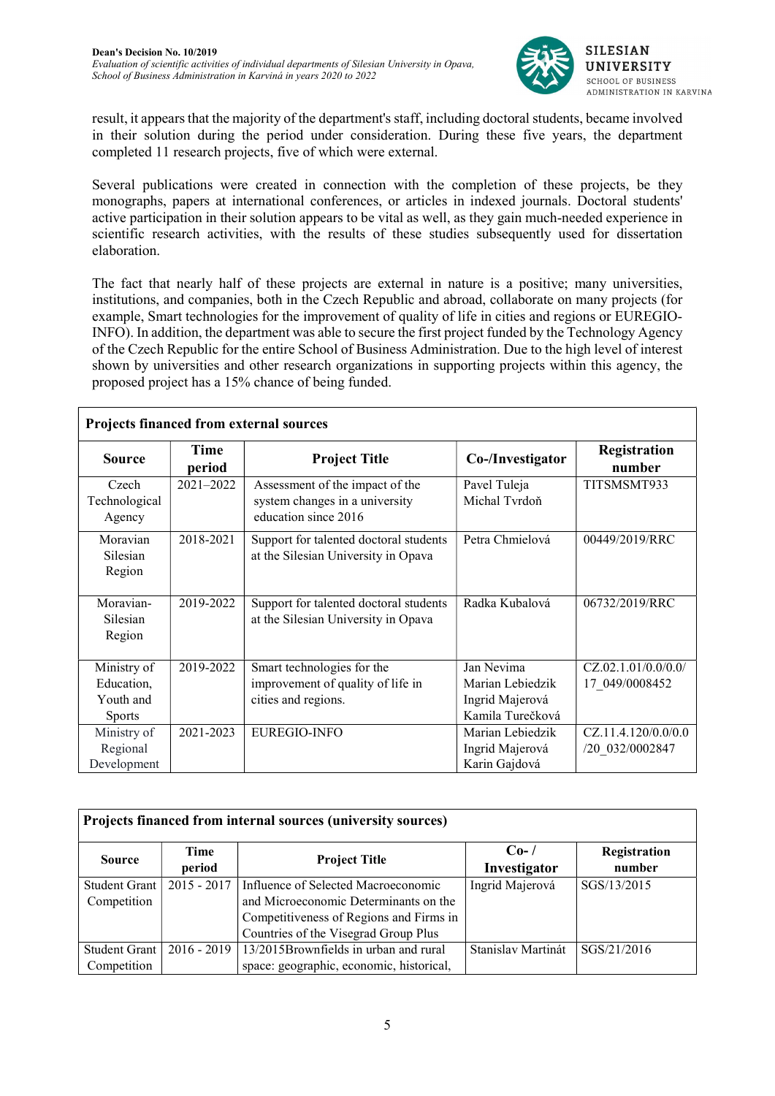

result, it appears that the majority of the department's staff, including doctoral students, became involved in their solution during the period under consideration. During these five years, the department completed 11 research projects, five of which were external.

Several publications were created in connection with the completion of these projects, be they monographs, papers at international conferences, or articles in indexed journals. Doctoral students' active participation in their solution appears to be vital as well, as they gain much-needed experience in scientific research activities, with the results of these studies subsequently used for dissertation elaboration.

The fact that nearly half of these projects are external in nature is a positive; many universities, institutions, and companies, both in the Czech Republic and abroad, collaborate on many projects (for example, Smart technologies for the improvement of quality of life in cities and regions or EUREGIO-INFO). In addition, the department was able to secure the first project funded by the Technology Agency of the Czech Republic for the entire School of Business Administration. Due to the high level of interest shown by universities and other research organizations in supporting projects within this agency, the proposed project has a 15% chance of being funded.

| <b>Projects financed from external sources</b> |                |                                                                                           |                                                         |                        |  |  |  |  |
|------------------------------------------------|----------------|-------------------------------------------------------------------------------------------|---------------------------------------------------------|------------------------|--|--|--|--|
| <b>Source</b>                                  | Time<br>period | <b>Project Title</b>                                                                      | Co-/Investigator                                        | Registration<br>number |  |  |  |  |
| Czech<br>Technological<br>Agency               | $2021 - 2022$  | Assessment of the impact of the<br>system changes in a university<br>education since 2016 | Pavel Tuleja<br>Michal Tyrdoň                           | TITSMSMT933            |  |  |  |  |
| Moravian<br>Silesian<br>Region                 | 2018-2021      | Support for talented doctoral students<br>at the Silesian University in Opava             | Petra Chmielová                                         | 00449/2019/RRC         |  |  |  |  |
| Moravian-<br>Silesian<br>Region                | 2019-2022      | Support for talented doctoral students<br>at the Silesian University in Opava             | Radka Kubalová                                          | 06732/2019/RRC         |  |  |  |  |
| Ministry of                                    | 2019-2022      | Smart technologies for the                                                                | Jan Nevima                                              | CZ.02.1.01/0.0/0.0/    |  |  |  |  |
| Education,<br>Youth and<br><b>Sports</b>       |                | improvement of quality of life in<br>cities and regions.                                  | Marian Lebiedzik<br>Ingrid Majerová<br>Kamila Turečková | 17 049/0008452         |  |  |  |  |
| Ministry of                                    | 2021-2023      | <b>EUREGIO-INFO</b>                                                                       | Marian Lebiedzik                                        | CZ.11.4.120/0.0/0.0    |  |  |  |  |
| Regional<br>Development                        |                |                                                                                           | Ingrid Majerová<br>Karin Gajdová                        | /20 032/0002847        |  |  |  |  |

| Projects financed from internal sources (university sources) |                |                                          |                         |                        |  |  |  |  |
|--------------------------------------------------------------|----------------|------------------------------------------|-------------------------|------------------------|--|--|--|--|
| <b>Source</b>                                                | Time<br>period | <b>Project Title</b>                     | $Co-$ /<br>Investigator | Registration<br>number |  |  |  |  |
| Student Grant                                                | $2015 - 2017$  | Influence of Selected Macroeconomic      | Ingrid Majerová         | SGS/13/2015            |  |  |  |  |
| Competition                                                  |                | and Microeconomic Determinants on the    |                         |                        |  |  |  |  |
|                                                              |                | Competitiveness of Regions and Firms in  |                         |                        |  |  |  |  |
|                                                              |                | Countries of the Visegrad Group Plus     |                         |                        |  |  |  |  |
| <b>Student Grant</b>                                         | $2016 - 2019$  | 13/2015Brownfields in urban and rural    | Stanislav Martinát      | SGS/21/2016            |  |  |  |  |
| Competition                                                  |                | space: geographic, economic, historical, |                         |                        |  |  |  |  |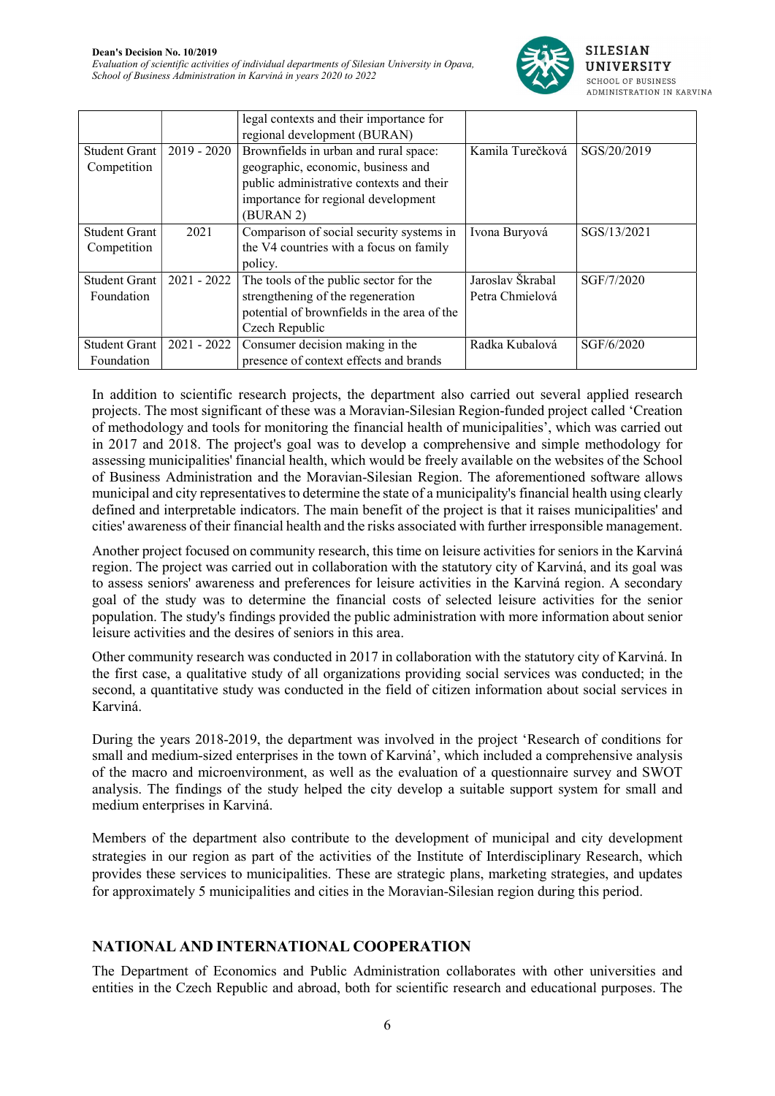

|                      |               | legal contexts and their importance for     |                  |             |
|----------------------|---------------|---------------------------------------------|------------------|-------------|
|                      |               | regional development (BURAN)                |                  |             |
| Student Grant        | $2019 - 2020$ | Brownfields in urban and rural space:       | Kamila Turečková | SGS/20/2019 |
| Competition          |               | geographic, economic, business and          |                  |             |
|                      |               | public administrative contexts and their    |                  |             |
|                      |               | importance for regional development         |                  |             |
|                      |               | (BURAN 2)                                   |                  |             |
| <b>Student Grant</b> | 2021          | Comparison of social security systems in    | Ivona Buryová    | SGS/13/2021 |
| Competition          |               | the V4 countries with a focus on family     |                  |             |
|                      |               | policy.                                     |                  |             |
| <b>Student Grant</b> | $2021 - 2022$ | The tools of the public sector for the      | Jaroslav Škrabal | SGF/7/2020  |
| Foundation           |               | strengthening of the regeneration           | Petra Chmielová  |             |
|                      |               | potential of brownfields in the area of the |                  |             |
|                      |               | Czech Republic                              |                  |             |
| <b>Student Grant</b> | $2021 - 2022$ | Consumer decision making in the             | Radka Kubalová   | SGF/6/2020  |
| Foundation           |               | presence of context effects and brands      |                  |             |

In addition to scientific research projects, the department also carried out several applied research projects. The most significant of these was a Moravian-Silesian Region-funded project called 'Creation of methodology and tools for monitoring the financial health of municipalities', which was carried out in 2017 and 2018. The project's goal was to develop a comprehensive and simple methodology for assessing municipalities' financial health, which would be freely available on the websites of the School of Business Administration and the Moravian-Silesian Region. The aforementioned software allows municipal and city representatives to determine the state of a municipality's financial health using clearly defined and interpretable indicators. The main benefit of the project is that it raises municipalities' and cities' awareness of their financial health and the risks associated with further irresponsible management.

Another project focused on community research, this time on leisure activities for seniors in the Karviná region. The project was carried out in collaboration with the statutory city of Karviná, and its goal was to assess seniors' awareness and preferences for leisure activities in the Karviná region. A secondary goal of the study was to determine the financial costs of selected leisure activities for the senior population. The study's findings provided the public administration with more information about senior leisure activities and the desires of seniors in this area.

Other community research was conducted in 2017 in collaboration with the statutory city of Karviná. In the first case, a qualitative study of all organizations providing social services was conducted; in the second, a quantitative study was conducted in the field of citizen information about social services in Karviná.

During the years 2018-2019, the department was involved in the project 'Research of conditions for small and medium-sized enterprises in the town of Karviná', which included a comprehensive analysis of the macro and microenvironment, as well as the evaluation of a questionnaire survey and SWOT analysis. The findings of the study helped the city develop a suitable support system for small and medium enterprises in Karviná.

Members of the department also contribute to the development of municipal and city development strategies in our region as part of the activities of the Institute of Interdisciplinary Research, which provides these services to municipalities. These are strategic plans, marketing strategies, and updates for approximately 5 municipalities and cities in the Moravian-Silesian region during this period.

## NATIONAL AND INTERNATIONAL COOPERATION

The Department of Economics and Public Administration collaborates with other universities and entities in the Czech Republic and abroad, both for scientific research and educational purposes. The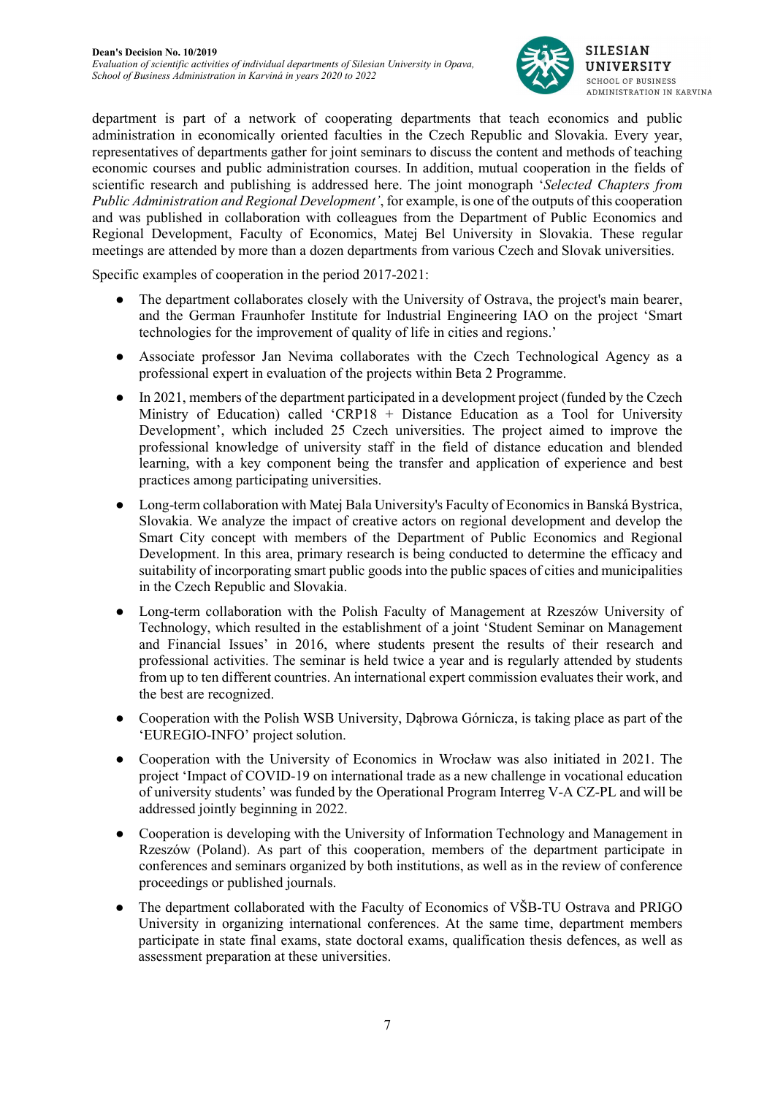

department is part of a network of cooperating departments that teach economics and public administration in economically oriented faculties in the Czech Republic and Slovakia. Every year, representatives of departments gather for joint seminars to discuss the content and methods of teaching economic courses and public administration courses. In addition, mutual cooperation in the fields of scientific research and publishing is addressed here. The joint monograph 'Selected Chapters from Public Administration and Regional Development', for example, is one of the outputs of this cooperation and was published in collaboration with colleagues from the Department of Public Economics and Regional Development, Faculty of Economics, Matej Bel University in Slovakia. These regular meetings are attended by more than a dozen departments from various Czech and Slovak universities.

Specific examples of cooperation in the period 2017-2021:

- The department collaborates closely with the University of Ostrava, the project's main bearer, and the German Fraunhofer Institute for Industrial Engineering IAO on the project 'Smart technologies for the improvement of quality of life in cities and regions.'
- Associate professor Jan Nevima collaborates with the Czech Technological Agency as a professional expert in evaluation of the projects within Beta 2 Programme.
- In 2021, members of the department participated in a development project (funded by the Czech Ministry of Education) called 'CRP18 + Distance Education as a Tool for University Development', which included 25 Czech universities. The project aimed to improve the professional knowledge of university staff in the field of distance education and blended learning, with a key component being the transfer and application of experience and best practices among participating universities.
- Long-term collaboration with Matej Bala University's Faculty of Economics in Banská Bystrica, Slovakia. We analyze the impact of creative actors on regional development and develop the Smart City concept with members of the Department of Public Economics and Regional Development. In this area, primary research is being conducted to determine the efficacy and suitability of incorporating smart public goods into the public spaces of cities and municipalities in the Czech Republic and Slovakia.
- Long-term collaboration with the Polish Faculty of Management at Rzeszów University of Technology, which resulted in the establishment of a joint 'Student Seminar on Management and Financial Issues' in 2016, where students present the results of their research and professional activities. The seminar is held twice a year and is regularly attended by students from up to ten different countries. An international expert commission evaluates their work, and the best are recognized.
- Cooperation with the Polish WSB University, Dabrowa Górnicza, is taking place as part of the 'EUREGIO-INFO' project solution.
- Cooperation with the University of Economics in Wrocław was also initiated in 2021. The project 'Impact of COVID-19 on international trade as a new challenge in vocational education of university students' was funded by the Operational Program Interreg V-A CZ-PL and will be addressed jointly beginning in 2022.
- Cooperation is developing with the University of Information Technology and Management in Rzeszów (Poland). As part of this cooperation, members of the department participate in conferences and seminars organized by both institutions, as well as in the review of conference proceedings or published journals.
- The department collaborated with the Faculty of Economics of VŠB-TU Ostrava and PRIGO University in organizing international conferences. At the same time, department members participate in state final exams, state doctoral exams, qualification thesis defences, as well as assessment preparation at these universities.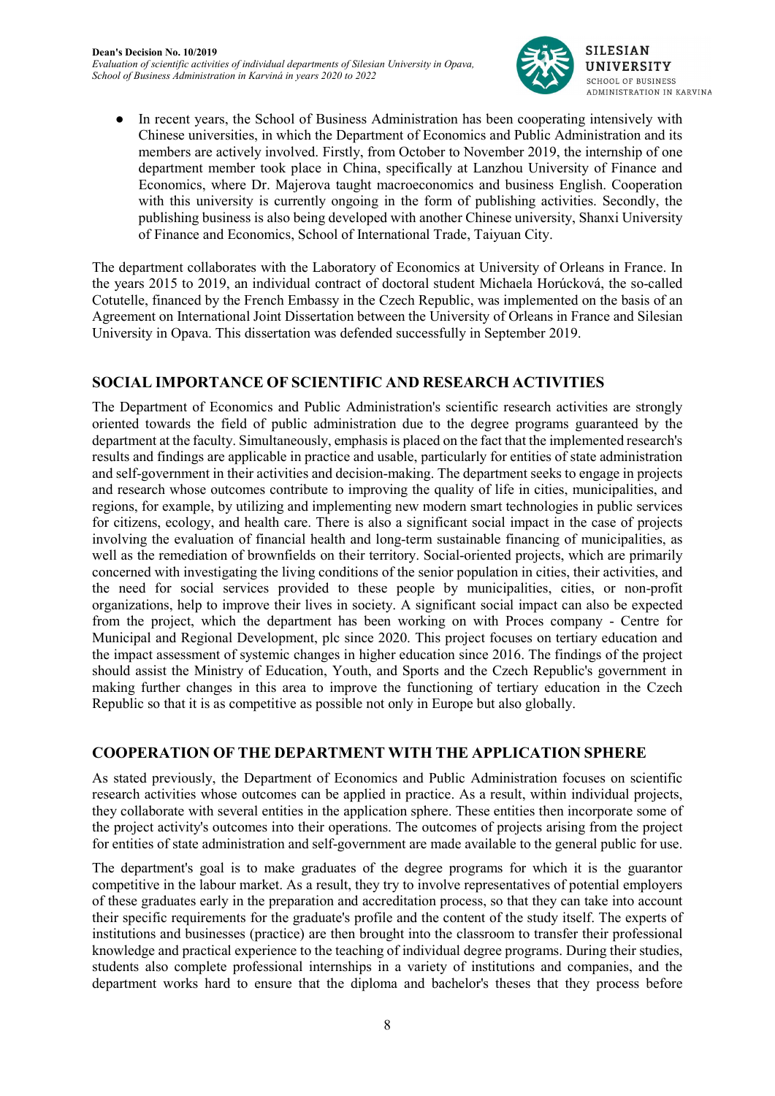

● In recent years, the School of Business Administration has been cooperating intensively with Chinese universities, in which the Department of Economics and Public Administration and its members are actively involved. Firstly, from October to November 2019, the internship of one department member took place in China, specifically at Lanzhou University of Finance and Economics, where Dr. Majerova taught macroeconomics and business English. Cooperation with this university is currently ongoing in the form of publishing activities. Secondly, the publishing business is also being developed with another Chinese university, Shanxi University of Finance and Economics, School of International Trade, Taiyuan City.

The department collaborates with the Laboratory of Economics at University of Orleans in France. In the years 2015 to 2019, an individual contract of doctoral student Michaela Horúcková, the so-called Cotutelle, financed by the French Embassy in the Czech Republic, was implemented on the basis of an Agreement on International Joint Dissertation between the University of Orleans in France and Silesian University in Opava. This dissertation was defended successfully in September 2019.

## SOCIAL IMPORTANCE OF SCIENTIFIC AND RESEARCH ACTIVITIES

The Department of Economics and Public Administration's scientific research activities are strongly oriented towards the field of public administration due to the degree programs guaranteed by the department at the faculty. Simultaneously, emphasis is placed on the fact that the implemented research's results and findings are applicable in practice and usable, particularly for entities of state administration and self-government in their activities and decision-making. The department seeks to engage in projects and research whose outcomes contribute to improving the quality of life in cities, municipalities, and regions, for example, by utilizing and implementing new modern smart technologies in public services for citizens, ecology, and health care. There is also a significant social impact in the case of projects involving the evaluation of financial health and long-term sustainable financing of municipalities, as well as the remediation of brownfields on their territory. Social-oriented projects, which are primarily concerned with investigating the living conditions of the senior population in cities, their activities, and the need for social services provided to these people by municipalities, cities, or non-profit organizations, help to improve their lives in society. A significant social impact can also be expected from the project, which the department has been working on with Proces company - Centre for Municipal and Regional Development, plc since 2020. This project focuses on tertiary education and the impact assessment of systemic changes in higher education since 2016. The findings of the project should assist the Ministry of Education, Youth, and Sports and the Czech Republic's government in making further changes in this area to improve the functioning of tertiary education in the Czech Republic so that it is as competitive as possible not only in Europe but also globally.

#### COOPERATION OF THE DEPARTMENT WITH THE APPLICATION SPHERE

As stated previously, the Department of Economics and Public Administration focuses on scientific research activities whose outcomes can be applied in practice. As a result, within individual projects, they collaborate with several entities in the application sphere. These entities then incorporate some of the project activity's outcomes into their operations. The outcomes of projects arising from the project for entities of state administration and self-government are made available to the general public for use.

The department's goal is to make graduates of the degree programs for which it is the guarantor competitive in the labour market. As a result, they try to involve representatives of potential employers of these graduates early in the preparation and accreditation process, so that they can take into account their specific requirements for the graduate's profile and the content of the study itself. The experts of institutions and businesses (practice) are then brought into the classroom to transfer their professional knowledge and practical experience to the teaching of individual degree programs. During their studies, students also complete professional internships in a variety of institutions and companies, and the department works hard to ensure that the diploma and bachelor's theses that they process before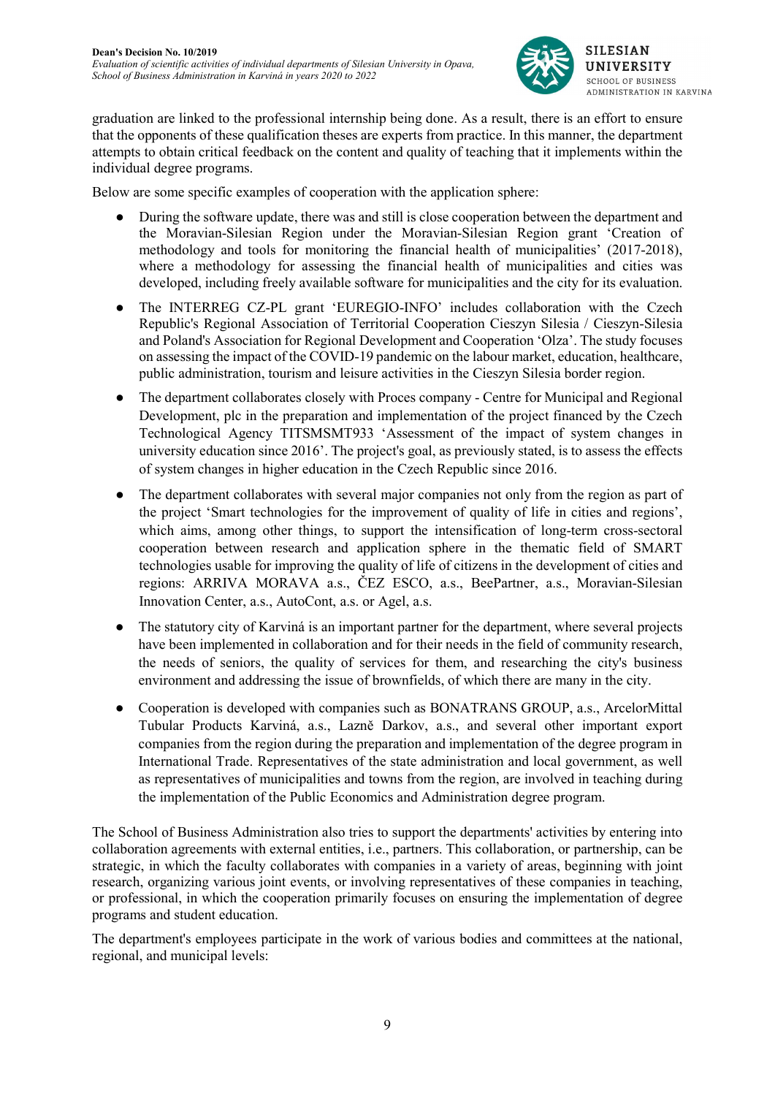

graduation are linked to the professional internship being done. As a result, there is an effort to ensure that the opponents of these qualification theses are experts from practice. In this manner, the department attempts to obtain critical feedback on the content and quality of teaching that it implements within the individual degree programs.

Below are some specific examples of cooperation with the application sphere:

- During the software update, there was and still is close cooperation between the department and the Moravian-Silesian Region under the Moravian-Silesian Region grant 'Creation of methodology and tools for monitoring the financial health of municipalities' (2017-2018), where a methodology for assessing the financial health of municipalities and cities was developed, including freely available software for municipalities and the city for its evaluation.
- The INTERREG CZ-PL grant 'EUREGIO-INFO' includes collaboration with the Czech Republic's Regional Association of Territorial Cooperation Cieszyn Silesia / Cieszyn-Silesia and Poland's Association for Regional Development and Cooperation 'Olza'. The study focuses on assessing the impact of the COVID-19 pandemic on the labour market, education, healthcare, public administration, tourism and leisure activities in the Cieszyn Silesia border region.
- The department collaborates closely with Proces company Centre for Municipal and Regional Development, plc in the preparation and implementation of the project financed by the Czech Technological Agency TITSMSMT933 'Assessment of the impact of system changes in university education since 2016'. The project's goal, as previously stated, is to assess the effects of system changes in higher education in the Czech Republic since 2016.
- The department collaborates with several major companies not only from the region as part of the project 'Smart technologies for the improvement of quality of life in cities and regions', which aims, among other things, to support the intensification of long-term cross-sectoral cooperation between research and application sphere in the thematic field of SMART technologies usable for improving the quality of life of citizens in the development of cities and regions: ARRIVA MORAVA a.s., ČEZ ESCO, a.s., BeePartner, a.s., Moravian-Silesian Innovation Center, a.s., AutoCont, a.s. or Agel, a.s.
- The statutory city of Karviná is an important partner for the department, where several projects have been implemented in collaboration and for their needs in the field of community research, the needs of seniors, the quality of services for them, and researching the city's business environment and addressing the issue of brownfields, of which there are many in the city.
- Cooperation is developed with companies such as BONATRANS GROUP, a.s., ArcelorMittal Tubular Products Karviná, a.s., Lazně Darkov, a.s., and several other important export companies from the region during the preparation and implementation of the degree program in International Trade. Representatives of the state administration and local government, as well as representatives of municipalities and towns from the region, are involved in teaching during the implementation of the Public Economics and Administration degree program.

The School of Business Administration also tries to support the departments' activities by entering into collaboration agreements with external entities, i.e., partners. This collaboration, or partnership, can be strategic, in which the faculty collaborates with companies in a variety of areas, beginning with joint research, organizing various joint events, or involving representatives of these companies in teaching, or professional, in which the cooperation primarily focuses on ensuring the implementation of degree programs and student education.

The department's employees participate in the work of various bodies and committees at the national, regional, and municipal levels: